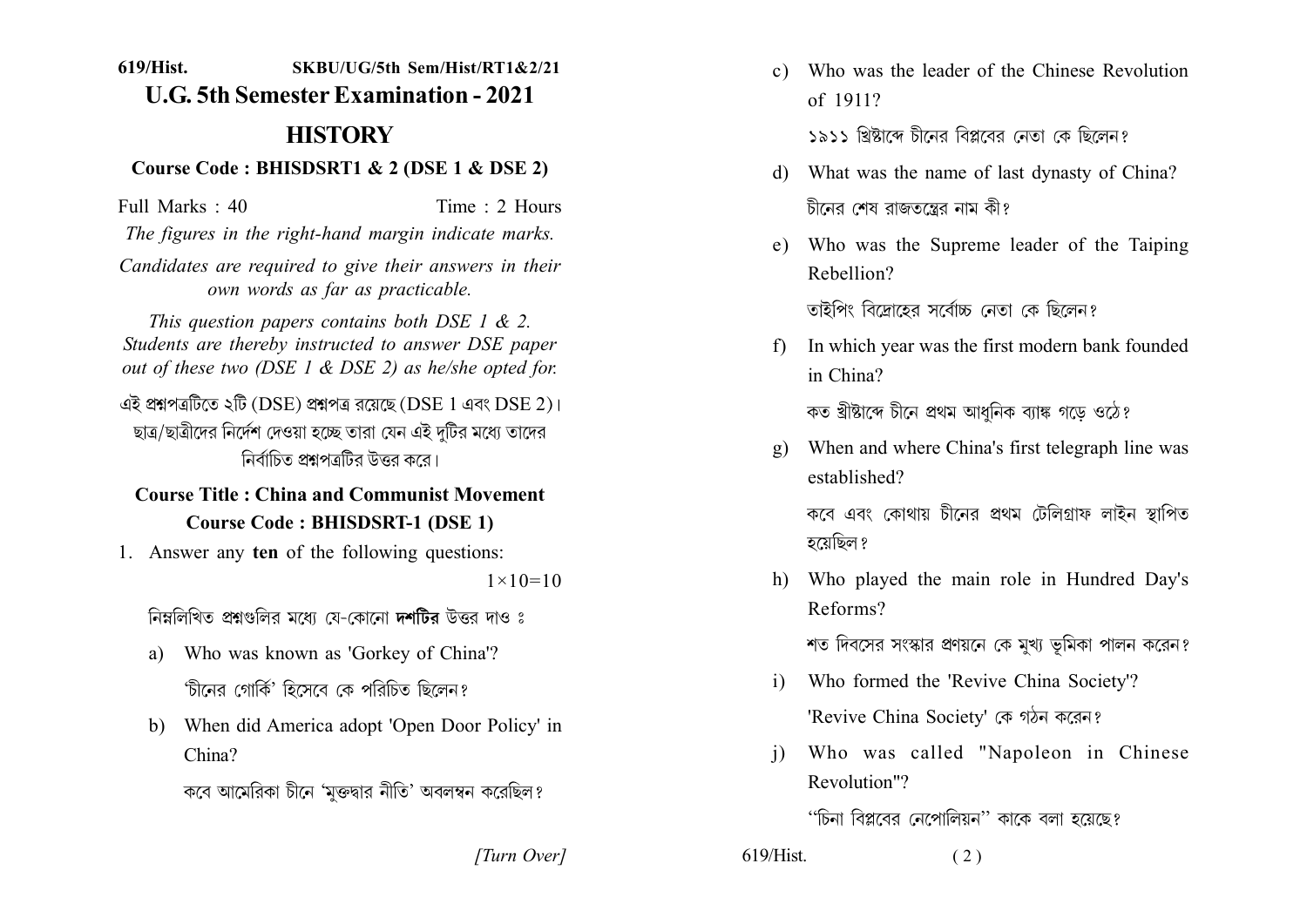619/Hist. SKRII/IIG/5th Sem/Hist/RT1&2/21 **U.G. 5th Semester Examination - 2021** 

# **HISTORY**

#### Course Code: BHISDSRT1 & 2 (DSE 1 & DSE 2)

Time: 2 Hours Full Marks: 40

The figures in the right-hand margin indicate marks.

Candidates are required to give their answers in their own words as far as practicable.

This question papers contains both DSE 1  $\&$  2. Students are thereby instructed to answer DSE paper out of these two (DSE  $1 \&$  DSE 2) as he/she opted for.

এই প্ৰশ্নপত্ৰটিতে ২টি (DSE) প্ৰশ্নপত্ৰ রয়েছে (DSE 1 এবং DSE 2)। ছাত্র/ছাত্রীদের নির্দেশ দেওয়া হচ্ছে তারা যেন এই দটির মধ্যে তাদের নির্বাচিত প্রশ্নপত্রটির উত্তর করে।

## **Course Title: China and Communist Movement Course Code: BHISDSRT-1 (DSE 1)**

1. Answer any ten of the following questions:

 $1 \times 10 = 10$ 

নিম্নলিখিত প্রশ্নগুলির মধ্যে যে-কোনো দশটির উত্তর দাও ঃ

- a) Who was known as 'Gorkey of China'? 'চীনের গোর্কি' হিসেবে কে পরিচিত ছিলেন?
- b) When did America adopt 'Open Door Policy' in  $China?$

কবে আমেরিকা চীনে 'মুক্তদ্বার নীতি' অবলম্বন করেছিল?

c) Who was the leader of the Chinese Revolution of 1911?

১৯১১ খ্রিষ্টাব্দ চীনেব বিপ্লবেব নেতা কে ছিলেন?

- d) What was the name of last dynasty of China? চীনের শেষ রাজতন্ত্রের নাম কী?
- e) Who was the Supreme leader of the Taiping Rebellion?

তাইপিং বিদোহেব সর্বোচ্চ নেতা কে ছিলেন?

In which year was the first modern bank founded  $f$ in China?

কত খ্ৰীষ্টাব্দে চীনে প্ৰথম আধনিক ব্যাঙ্ক গডে ওঠে?

- When and where China's first telegraph line was  $\mathbf{g}$ ) established? কবে এবং কোথায় চীনের প্রথম টেলিগ্রাফ লাইন স্থাপিত হয়েছিল ?
- h) Who played the main role in Hundred Day's Reforms?

শত দিবসের সংস্কার প্রণয়নে কে মুখ্য ভূমিকা পালন করেন?

- Who formed the 'Revive China Society'?  $\mathbf{i}$ 'Revive China Society' কে গঠন করেন?
- Who was called "Napoleon in Chinese  $\overline{1}$ Revolution"?

''চিনা বিপ্লবের নেপোলিয়ন'' কাকে বলা হয়েছে?

[Turn Over]

 $619/H$ ist.  $(2)$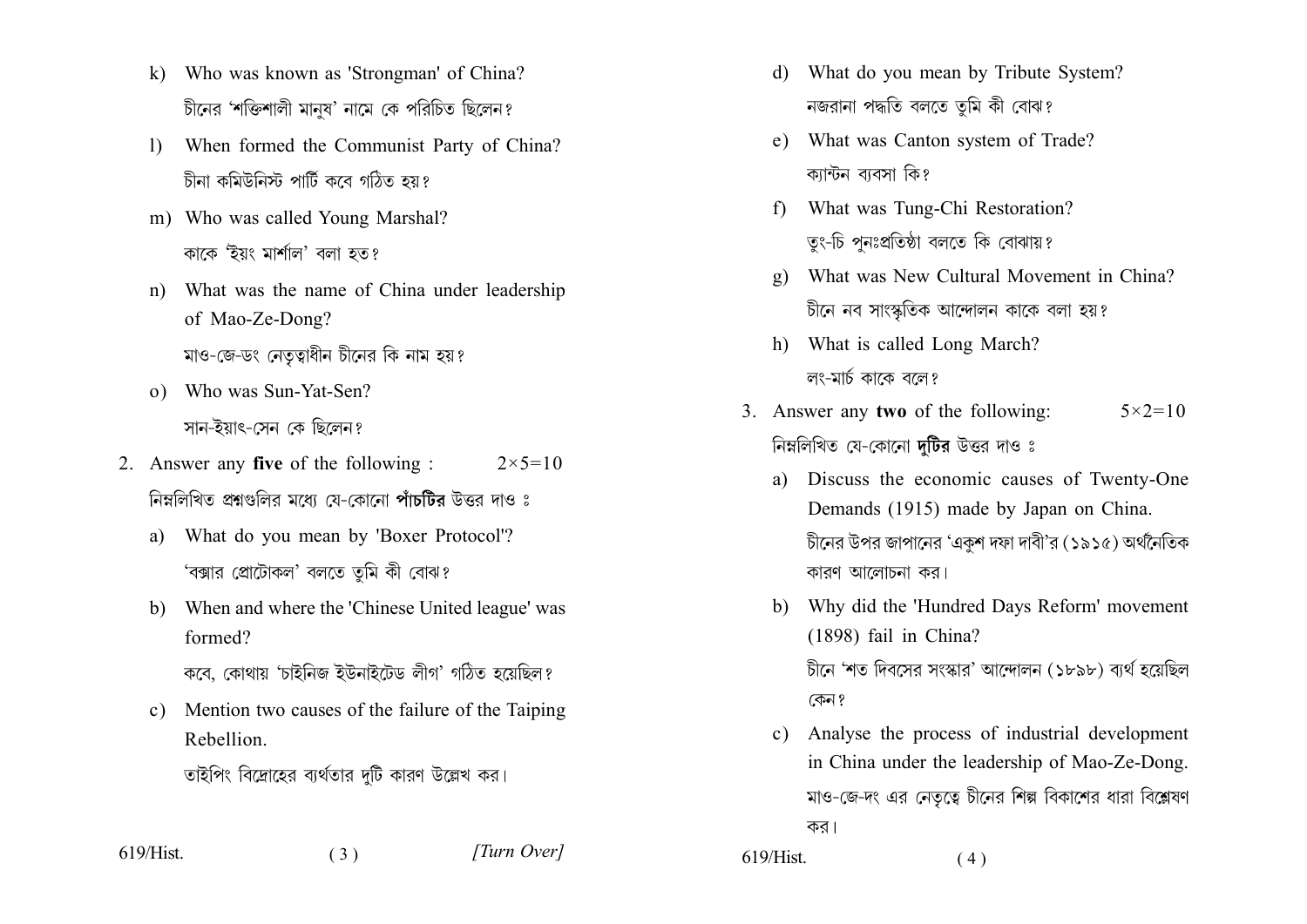- k) Who was known as 'Strongman' of China? চীনের 'শক্তিশালী মানুষ' নামে কে পরিচিত ছিলেন?
- When formed the Communist Party of China?  $\mathbf{D}$ চীনা কমিউনিস্ট পার্টি কবে গঠিত হয়?
- m) Who was called Young Marshal? কাকে 'ইয়ং মার্শাল' বলা হত?
- What was the name of China under leadership  $n$ ) of Mao-Ze-Dong? মাও-জে-ডং নেতৃত্বাধীন চীনের কি নাম হয়?
- o) Who was Sun-Yat-Sen? সান-ইয়াৎ-সেন কে ছিলেন?
- 2. Answer any five of the following :  $2 \times 5 = 10$ নিম্নলিখিত প্রশ্নগুলির মধ্যে যে-কোনো পাঁচটির উত্তর দাও ঃ
	- a) What do you mean by 'Boxer Protocol'? 'বক্সার প্রোটোকল' বলতে তমি কী বোঝ?
	- b) When and where the 'Chinese United league' was formed?

কবে. কোথায় 'চাইনিজ ইউনাইটেড লীগ' গঠিত হয়েছিল?

Mention two causes of the failure of the Taiping  $c)$ Rebellion.

তাইপিং বিদ্রোহের ব্যর্থতার দটি কারণ উল্লেখ কর।

 $(3)$ 

619/Hist.

[Turn Over]

- d) What do you mean by Tribute System? নজরানা পদ্ধতি বলতে তুমি কী বোঝ?
- e) What was Canton system of Trade? ক্যান্টন ব্যবসা কি?
- f) What was Tung-Chi Restoration? তং-চি পনঃপ্রতিষ্ঠা বলতে কি বোঝায়?
- What was New Cultural Movement in China?  $\mathbf{g}$ ) চীনে নব সাংস্কৃতিক আন্দোলন কাকে বলা হয়?
- h) What is called Long March? লং-মার্চ কাকে বলে?
- 3. Answer any two of the following:  $5 \times 2 = 10$ নিম্নলিখিত যে-কোনো দটির উত্তর দাও ঃ
	- Discuss the economic causes of Twenty-One a) Demands (1915) made by Japan on China. চীনের উপর জাপানের 'একশ দফা দাবী'র (১৯১৫) অর্থনৈতিক কারণ আলোচনা কর।
	- b) Why did the 'Hundred Days Reform' movement  $(1898)$  fail in China? চীনে 'শত দিবসের সংস্কার' আন্দোলন (১৮৯৮) ব্যর্থ হয়েছিল কেন ?
	- Analyse the process of industrial development  $c)$ in China under the leadership of Mao-Ze-Dong. মাও-জে-দং এর নেতৃত্বে চীনের শিল্প বিকাশের ধারা বিশ্লেষণ কর।

619/Hist.  $(4)$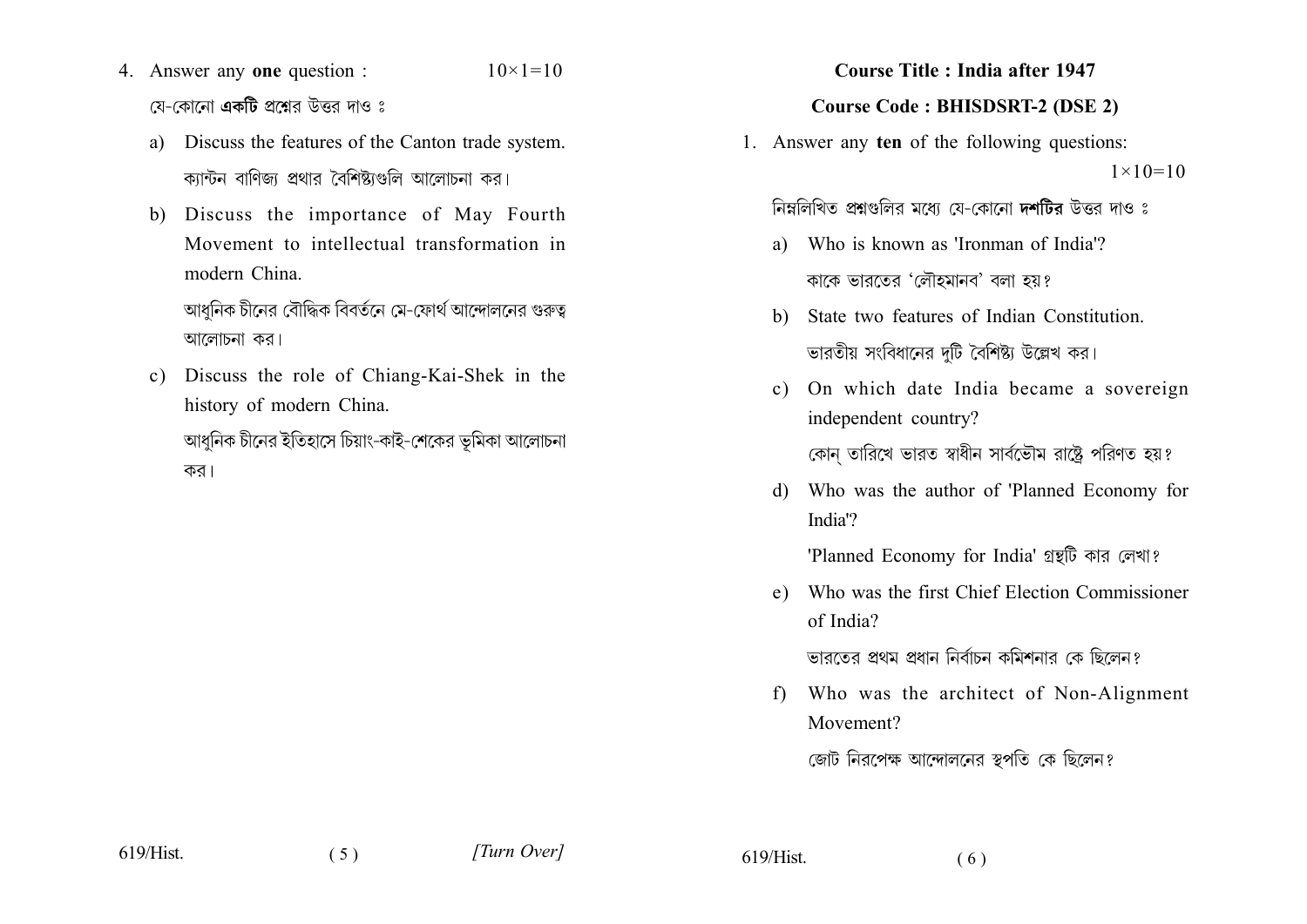- 4. Answer any one question :  $10 \times 1 = 10$ য়ে-কোনো **একটি** প্রশ্নের উত্তর দাও ঃ
	- a) Discuss the features of the Canton trade system. ক্যান্টন বাণিজ্য প্রথার বৈশিষ্ট্যগুলি আলোচনা কর।
	- b) Discuss the importance of May Fourth Movement to intellectual transformation in modern China

আধনিক চীনের বৌদ্ধিক বিবর্তনে মে-ফোর্থ আন্দোলনের গুরুত্ব আলোচনা কর।

c) Discuss the role of Chiang-Kai-Shek in the history of modern China.

আধুনিক চীনের ইতিহাসে চিয়াং-কাই-শেকের ভূমিকা আলোচনা কর।

### **Course Title: India after 1947**

### **Course Code: BHISDSRT-2 (DSE 2)**

1. Answer any ten of the following questions:  $1 \times 10 = 10$ 

নিম্নলিখিত প্রশ্নগুলির মধ্যে যে-কোনো দশটির উত্তর দাও ঃ

- a) Who is known as 'Ironman of India'? কাকে ভারতের 'লৌহমানব' বলা হয়?
- b) State two features of Indian Constitution. ভারতীয় সংবিধানের দটি বৈশিষ্ট্য উল্লেখ কর।
- On which date India became a sovereign  $c)$ independent country? কোন তারিখে ভারত স্বাধীন সার্বভৌম রাষ্ট্রে পরিণত হয়?
- d) Who was the author of 'Planned Economy for India'?

'Planned Economy for India' গ্রন্থটি কার লেখা?

e) Who was the first Chief Election Commissioner of India?

ভারতের প্রথম প্রধান নির্বাচন কমিশনার কে ছিলেন?

f) Who was the architect of Non-Alignment Movement?

জোট নিরপেক্ষ আন্দোলনের স্বপতি কে ছিলেন?

 $619/Hist$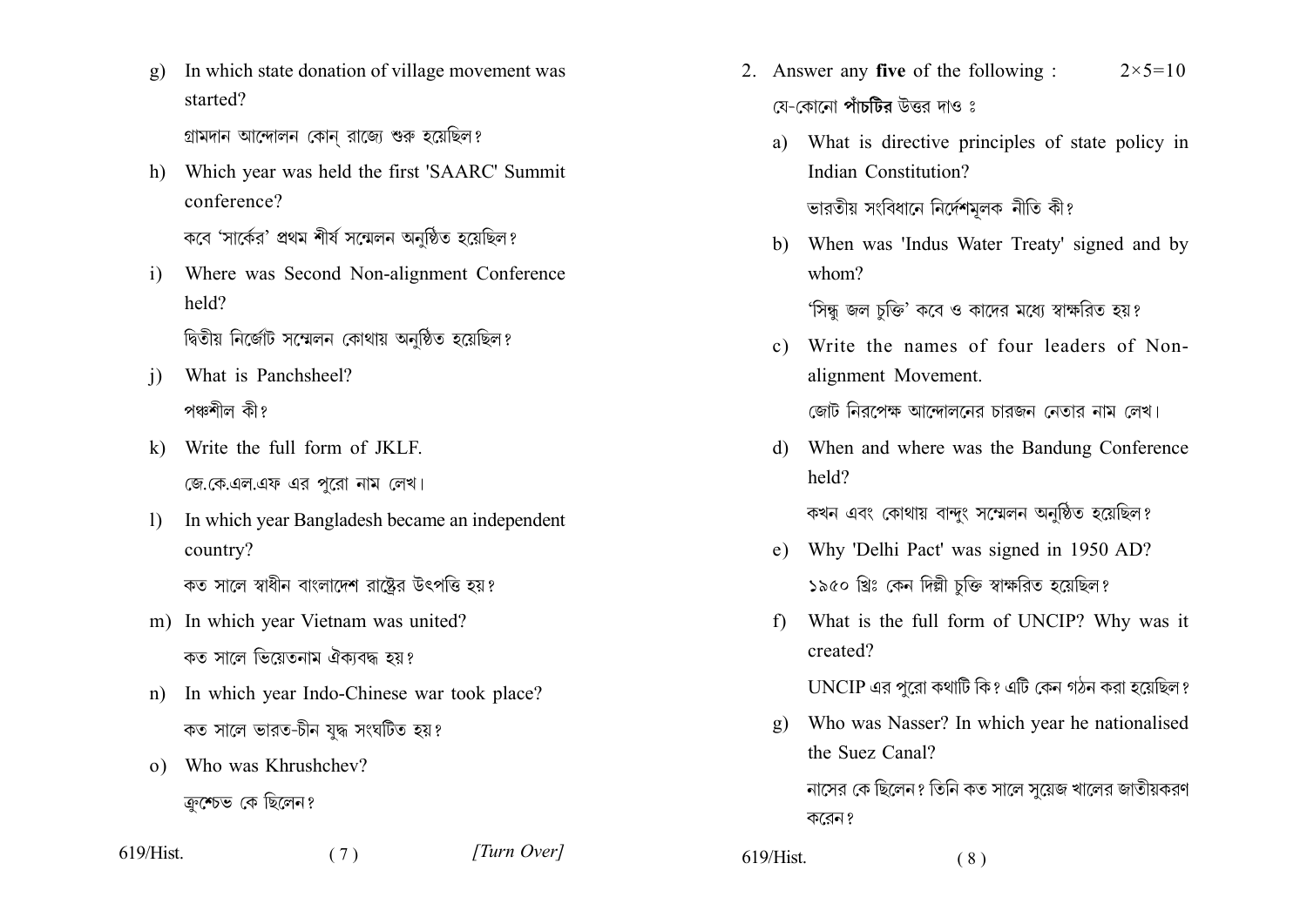In which state donation of village movement was  $g)$ started?

গ্রামদান আন্দোলন কোন রাজ্যে শুরু হয়েছিল?

h) Which year was held the first 'SAARC' Summit conference?

কবে 'সার্কের' প্রথম শীর্ষ সম্মেলন অনষ্ঠিত হয়েছিল?

Where was Second Non-alignment Conference  $\mathbf{i}$ held?

দ্বিতীয় নির্জোট সম্মেলন কোথায় অনুষ্ঠিত হয়েছিল?

- What is Panchsheel?  $\overline{1}$ পঞ্চশীল কী?
- Write the full form of JKLF.  $\mathbf{k}$ জে. কে. এল. এফ এর পরো নাম লেখ।
- In which year Bangladesh became an independent  $\mathbf{D}$ country? কত সালে স্বাধীন বাংলাদেশ রাষ্ট্রের উৎপত্তি হয়?
- m) In which year Vietnam was united?

কত সালে ভিয়েতনাম ঐকাবদ্ধ হয়?

In which year Indo-Chinese war took place?  $n$ ) কত সালে ভারত-চীন যুদ্ধ সংঘটিত হয়?

 $(7)$ 

o) Who was Khrushchev? ক্রুশ্চেভ কে ছিলেন?

619/Hist.

[Turn Over]

- 2. Answer any five of the following :  $2 \times 5 = 10$ য়ে-কোনো **পাঁচটির** উত্তর দাও ঃ
	- What is directive principles of state policy in a) Indian Constitution? ভারতীয় সংবিধানে নির্দেশমূলক নীতি কী?
	- b) When was 'Indus Water Treaty' signed and by  $whom?$

'সিন্ধু জল চুক্তি' কবে ও কাদের মধ্যে স্বাক্ষরিত হয়?

c) Write the names of four leaders of Nonalignment Movement.

জোট নিরপেক্ষ আন্দোলনের চারজন নেতার নাম লেখ।

When and where was the Bandung Conference d) held?

কখন এবং কোথায় বান্দুং সম্মেলন অনুষ্ঠিত হয়েছিল?

- Why 'Delhi Pact' was signed in 1950 AD?  $e)$ ১৯৫০ খ্রিঃ কেন দিল্লী চক্তি স্বাক্ষরিত হয়েছিল?
- What is the full form of UNCIP? Why was it f) created?

UNCIP এর পরো কথাটি কি? এটি কেন গঠন করা হয়েছিল?

Who was Nasser? In which year he nationalised  $\mathbf{g}$ the Suez Canal?

নাসের কে ছিলেন? তিনি কত সালে সয়েজ খালের জাতীয়করণ করেন?

 $619/Hist$ .  $(8)$